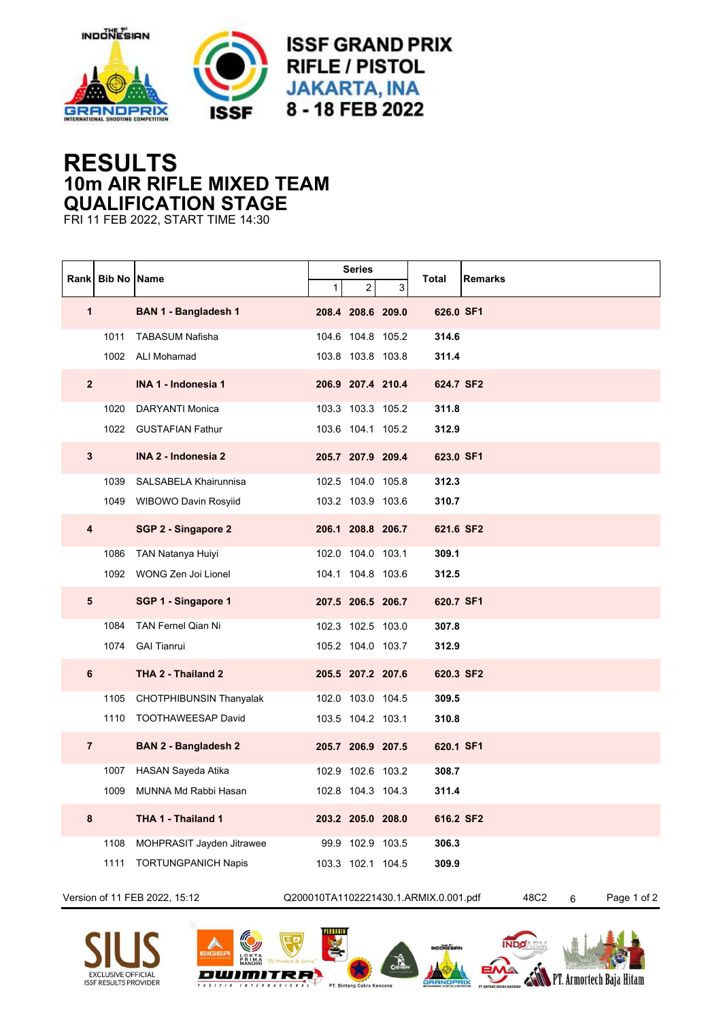

## **RESULTS 10m AIR RIFLE MIXED TEAM QUALIFICATION STAGE**

FRI 11 FEB 2022, START TIME 14:30

|                               |      | <b>Rankl Bib No IName</b>      |                                       | <b>Series</b>     |   |           |                          |
|-------------------------------|------|--------------------------------|---------------------------------------|-------------------|---|-----------|--------------------------|
|                               |      |                                | 1                                     | 2                 | 3 | Total     | <b>Remarks</b>           |
| 1                             |      | <b>BAN 1 - Bangladesh 1</b>    |                                       | 208.4 208.6 209.0 |   | 626.0 SF1 |                          |
|                               | 1011 | <b>TABASUM Nafisha</b>         |                                       | 104.6 104.8 105.2 |   | 314.6     |                          |
|                               |      | 1002 ALI Mohamad               |                                       | 103.8 103.8 103.8 |   | 311.4     |                          |
| $\overline{2}$                |      | <b>INA 1 - Indonesia 1</b>     |                                       | 206.9 207.4 210.4 |   | 624.7 SF2 |                          |
|                               | 1020 | DARYANTI Monica                |                                       | 103.3 103.3 105.2 |   | 311.8     |                          |
|                               | 1022 | <b>GUSTAFIAN Fathur</b>        |                                       | 103.6 104.1 105.2 |   | 312.9     |                          |
| 3                             |      | INA 2 - Indonesia 2            |                                       | 205.7 207.9 209.4 |   | 623.0 SF1 |                          |
|                               | 1039 | SALSABELA Khairunnisa          |                                       | 102.5 104.0 105.8 |   | 312.3     |                          |
|                               |      | 1049 WIBOWO Davin Rosyiid      |                                       | 103.2 103.9 103.6 |   | 310.7     |                          |
| 4                             |      | SGP 2 - Singapore 2            |                                       | 206.1 208.8 206.7 |   | 621.6 SF2 |                          |
|                               | 1086 | TAN Natanya Huiyi              |                                       | 102.0 104.0 103.1 |   | 309.1     |                          |
|                               | 1092 | WONG Zen Joi Lionel            |                                       | 104.1 104.8 103.6 |   | 312.5     |                          |
| 5                             |      | SGP 1 - Singapore 1            |                                       | 207.5 206.5 206.7 |   | 620.7 SF1 |                          |
|                               | 1084 | <b>TAN Fernel Qian Ni</b>      |                                       | 102.3 102.5 103.0 |   | 307.8     |                          |
|                               | 1074 | <b>GAI Tianrui</b>             |                                       | 105.2 104.0 103.7 |   | 312.9     |                          |
| 6                             |      | THA 2 - Thailand 2             |                                       | 205.5 207.2 207.6 |   | 620.3 SF2 |                          |
|                               | 1105 | <b>CHOTPHIBUNSIN Thanyalak</b> |                                       | 102.0 103.0 104.5 |   | 309.5     |                          |
|                               | 1110 | TOOTHAWEESAP David             |                                       | 103.5 104.2 103.1 |   | 310.8     |                          |
| $\overline{7}$                |      | <b>BAN 2 - Bangladesh 2</b>    |                                       | 205.7 206.9 207.5 |   | 620.1 SF1 |                          |
|                               | 1007 | HASAN Sayeda Atika             |                                       | 102.9 102.6 103.2 |   | 308.7     |                          |
|                               | 1009 | MUNNA Md Rabbi Hasan           |                                       | 102.8 104.3 104.3 |   | 311.4     |                          |
| 8                             |      | THA 1 - Thailand 1             |                                       | 203.2 205.0 208.0 |   | 616.2 SF2 |                          |
|                               | 1108 | MOHPRASIT Jayden Jitrawee      |                                       | 99.9 102.9 103.5  |   | 306.3     |                          |
|                               | 1111 | <b>TORTUNGPANICH Napis</b>     |                                       | 103.3 102.1 104.5 |   | 309.9     |                          |
| Version of 11 FEB 2022, 15:12 |      |                                | Q200010TA1102221430.1.ARMIX.0.001.pdf |                   |   |           | 48C2<br>Page 1 of 2<br>6 |







PERBAKIN Je.